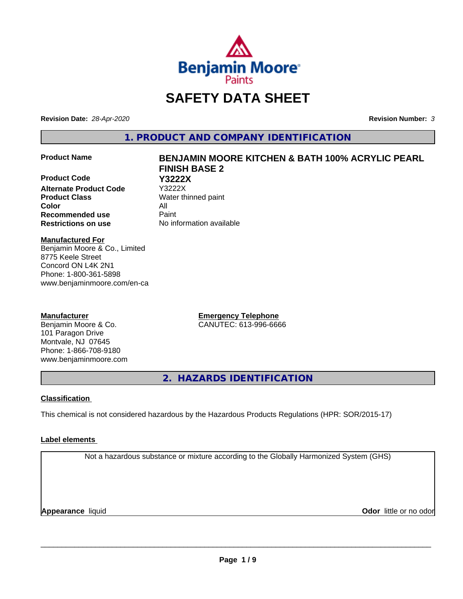

# **SAFETY DATA SHEET**

**Revision Date:** *28-Apr-2020* **Revision Number:** *3*

**1. PRODUCT AND COMPANY IDENTIFICATION**

**Product Code Y3222X Alternate Product Code Product Class** Water thinned paint **Color** All **Recommended use** Paint **Restrictions on use** No information available

# **Product Name BENJAMIN MOORE KITCHEN & BATH 100% ACRYLIC PEARL FINISH BASE 2**

**Manufactured For**

Benjamin Moore & Co., Limited 8775 Keele Street Concord ON L4K 2N1 Phone: 1-800-361-5898 www.benjaminmoore.com/en-ca

### **Manufacturer**

Benjamin Moore & Co. 101 Paragon Drive Montvale, NJ 07645 Phone: 1-866-708-9180 www.benjaminmoore.com **Emergency Telephone** CANUTEC: 613-996-6666

**2. HAZARDS IDENTIFICATION**

### **Classification**

This chemical is not considered hazardous by the Hazardous Products Regulations (HPR: SOR/2015-17)

### **Label elements**

Not a hazardous substance or mixture according to the Globally Harmonized System (GHS)

**Appearance** liquid

**Odor** little or no odor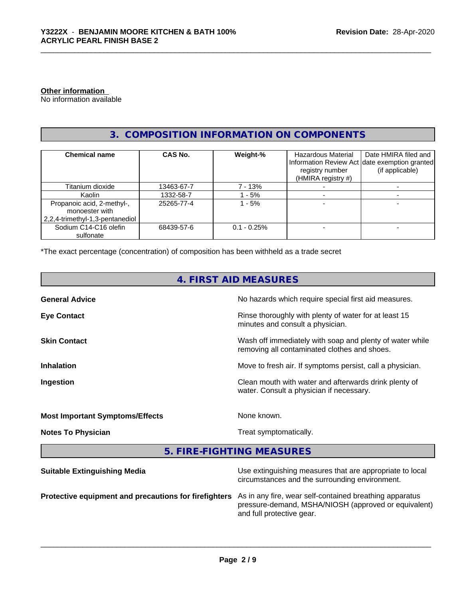### **Other information**

No information available

### **3. COMPOSITION INFORMATION ON COMPONENTS**

| <b>Chemical name</b>                                                              | CAS No.    | Weight-%       | <b>Hazardous Material</b><br>registry number<br>(HMIRA registry #) | Date HMIRA filed and<br>Information Review Act date exemption granted<br>(if applicable) |
|-----------------------------------------------------------------------------------|------------|----------------|--------------------------------------------------------------------|------------------------------------------------------------------------------------------|
| Titanium dioxide                                                                  | 13463-67-7 | 7 - 13%        |                                                                    |                                                                                          |
| Kaolin                                                                            | 1332-58-7  | $-5%$          |                                                                    |                                                                                          |
| Propanoic acid, 2-methyl-,<br>monoester with<br>  2,2,4-trimethyl-1,3-pentanediol | 25265-77-4 | - 5%           |                                                                    |                                                                                          |
| Sodium C14-C16 olefin<br>sulfonate                                                | 68439-57-6 | $0.1 - 0.25\%$ |                                                                    |                                                                                          |

\*The exact percentage (concentration) of composition has been withheld as a trade secret

### **4. FIRST AID MEASURES**

| <b>General Advice</b>                  | No hazards which require special first aid measures.                                                     |
|----------------------------------------|----------------------------------------------------------------------------------------------------------|
| <b>Eye Contact</b>                     | Rinse thoroughly with plenty of water for at least 15<br>minutes and consult a physician.                |
| <b>Skin Contact</b>                    | Wash off immediately with soap and plenty of water while<br>removing all contaminated clothes and shoes. |
| <b>Inhalation</b>                      | Move to fresh air. If symptoms persist, call a physician.                                                |
| Ingestion                              | Clean mouth with water and afterwards drink plenty of<br>water. Consult a physician if necessary.        |
| <b>Most Important Symptoms/Effects</b> | None known.                                                                                              |
| <b>Notes To Physician</b>              | Treat symptomatically.                                                                                   |
|                                        |                                                                                                          |

**5. FIRE-FIGHTING MEASURES**

| <b>Suitable Extinguishing Media</b>                   | Use extinguishing measures that are appropriate to local<br>circumstances and the surrounding environment.                                   |
|-------------------------------------------------------|----------------------------------------------------------------------------------------------------------------------------------------------|
| Protective equipment and precautions for firefighters | As in any fire, wear self-contained breathing apparatus<br>pressure-demand, MSHA/NIOSH (approved or equivalent)<br>and full protective gear. |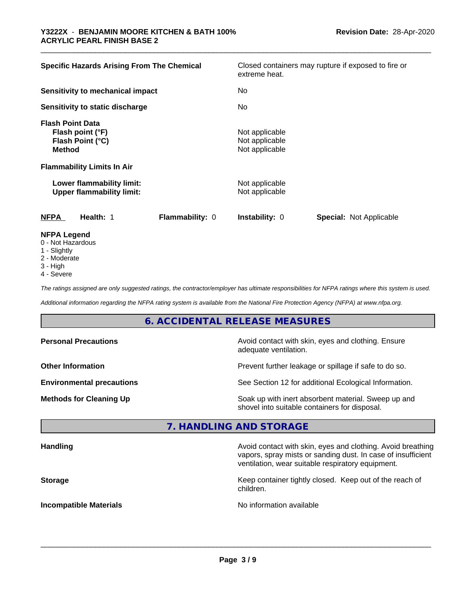| <b>Specific Hazards Arising From The Chemical</b>                                                  |                 | extreme heat.                                      | Closed containers may rupture if exposed to fire or |
|----------------------------------------------------------------------------------------------------|-----------------|----------------------------------------------------|-----------------------------------------------------|
| Sensitivity to mechanical impact                                                                   |                 | No                                                 |                                                     |
| Sensitivity to static discharge                                                                    |                 | No.                                                |                                                     |
| <b>Flash Point Data</b><br>Flash point (°F)<br>Flash Point (°C)<br><b>Method</b>                   |                 | Not applicable<br>Not applicable<br>Not applicable |                                                     |
| <b>Flammability Limits In Air</b><br>Lower flammability limit:<br><b>Upper flammability limit:</b> |                 | Not applicable<br>Not applicable                   |                                                     |
| <b>NFPA</b><br>Health: 1                                                                           | Flammability: 0 | <b>Instability: 0</b>                              | <b>Special: Not Applicable</b>                      |
| <b>NFPA Legend</b><br>0 - Not Hazardous                                                            |                 |                                                    |                                                     |

- 
- 1 Slightly
- 2 Moderate
- 3 High
- 4 Severe

*The ratings assigned are only suggested ratings, the contractor/employer has ultimate responsibilities for NFPA ratings where this system is used.*

*Additional information regarding the NFPA rating system is available from the National Fire Protection Agency (NFPA) at www.nfpa.org.*

### **6. ACCIDENTAL RELEASE MEASURES**

| <b>Personal Precautions</b>      | Avoid contact with skin, eyes and clothing. Ensure<br>adequate ventilation.                          |
|----------------------------------|------------------------------------------------------------------------------------------------------|
| <b>Other Information</b>         | Prevent further leakage or spillage if safe to do so.                                                |
| <b>Environmental precautions</b> | See Section 12 for additional Ecological Information.                                                |
| <b>Methods for Cleaning Up</b>   | Soak up with inert absorbent material. Sweep up and<br>shovel into suitable containers for disposal. |

### **7. HANDLING AND STORAGE**

| <b>Handling</b>               | Avoid contact with skin, eyes and clothing. Avoid breathing<br>vapors, spray mists or sanding dust. In case of insufficient<br>ventilation, wear suitable respiratory equipment. |
|-------------------------------|----------------------------------------------------------------------------------------------------------------------------------------------------------------------------------|
| <b>Storage</b>                | Keep container tightly closed. Keep out of the reach of<br>children.                                                                                                             |
| <b>Incompatible Materials</b> | No information available                                                                                                                                                         |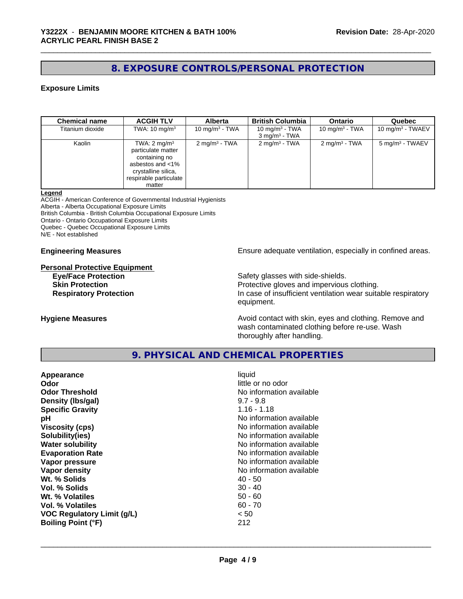### **8. EXPOSURE CONTROLS/PERSONAL PROTECTION**

### **Exposure Limits**

| <b>Chemical name</b> | <b>ACGIH TLV</b>                                                                                                                              | <b>Alberta</b>           | <b>British Columbia</b>                        | <b>Ontario</b>           | Quebec                      |
|----------------------|-----------------------------------------------------------------------------------------------------------------------------------------------|--------------------------|------------------------------------------------|--------------------------|-----------------------------|
| Titanium dioxide     | TWA: $10 \text{ mg/m}^3$                                                                                                                      | 10 mg/m $3$ - TWA        | 10 mg/m $3$ - TWA<br>3 mg/m <sup>3</sup> - TWA | 10 mg/m $3$ - TWA        | 10 mg/m $3$ - TWAEV         |
| Kaolin               | TWA: $2 \text{ mg/m}^3$<br>particulate matter<br>containing no<br>asbestos and <1%<br>crystalline silica,<br>respirable particulate<br>matter | $2 \text{ mg/m}^3$ - TWA | $2 \text{ mg/m}^3$ - TWA                       | $2 \text{ mg/m}^3$ - TWA | 5 mg/m <sup>3</sup> - TWAEV |

#### **Legend**

ACGIH - American Conference of Governmental Industrial Hygienists Alberta - Alberta Occupational Exposure Limits British Columbia - British Columbia Occupational Exposure Limits Ontario - Ontario Occupational Exposure Limits Quebec - Quebec Occupational Exposure Limits N/E - Not established

# **Personal Protective Equipment**

**Engineering Measures Ensure** Ensure adequate ventilation, especially in confined areas.

**Eye/Face Protection**<br> **Safety glasses with side-shields.**<br> **Skin Protection**<br> **Safety glasses with side-shields.** Protective gloves and impervious clothing. **Respiratory Protection In case of insufficient ventilation wear suitable respiratory** equipment.

**Hygiene Measures Avoid contact with skin, eyes and clothing. Remove and Hygiene Measures Avoid contact with skin, eyes and clothing. Remove and** wash contaminated clothing before re-use. Wash thoroughly after handling.

### **9. PHYSICAL AND CHEMICAL PROPERTIES**

| little or no odor<br>Odor<br><b>Odor Threshold</b><br>No information available<br>$9.7 - 9.8$<br>Density (Ibs/gal)<br>$1.16 - 1.18$<br><b>Specific Gravity</b><br>No information available<br>рH<br>No information available<br><b>Viscosity (cps)</b><br>No information available<br>Solubility(ies)<br><b>Water solubility</b><br>No information available<br>No information available<br><b>Evaporation Rate</b><br>No information available<br>Vapor pressure<br>Vapor density<br>No information available<br>Wt. % Solids<br>$40 - 50$<br>Vol. % Solids<br>$30 - 40$<br>Wt. % Volatiles<br>$50 - 60$<br>$60 - 70$<br>Vol. % Volatiles<br><b>VOC Regulatory Limit (g/L)</b><br>< 50<br><b>Boiling Point (°F)</b> |
|----------------------------------------------------------------------------------------------------------------------------------------------------------------------------------------------------------------------------------------------------------------------------------------------------------------------------------------------------------------------------------------------------------------------------------------------------------------------------------------------------------------------------------------------------------------------------------------------------------------------------------------------------------------------------------------------------------------------|
|----------------------------------------------------------------------------------------------------------------------------------------------------------------------------------------------------------------------------------------------------------------------------------------------------------------------------------------------------------------------------------------------------------------------------------------------------------------------------------------------------------------------------------------------------------------------------------------------------------------------------------------------------------------------------------------------------------------------|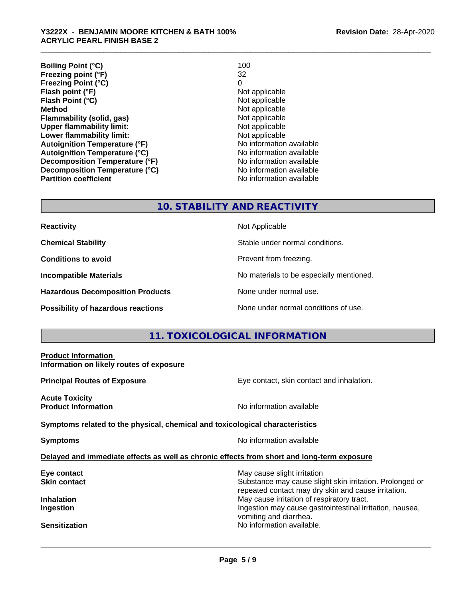| <b>Boiling Point (°C)</b>            | 100                      |
|--------------------------------------|--------------------------|
| Freezing point (°F)                  | 32                       |
| <b>Freezing Point (°C)</b>           | 0                        |
| Flash point (°F)                     | Not applicable           |
| Flash Point (°C)                     | Not applicable           |
| <b>Method</b>                        | Not applicable           |
| Flammability (solid, gas)            | Not applicable           |
| <b>Upper flammability limit:</b>     | Not applicable           |
| Lower flammability limit:            | Not applicable           |
| <b>Autoignition Temperature (°F)</b> | No information available |
| <b>Autoignition Temperature (°C)</b> | No information available |
| Decomposition Temperature (°F)       | No information available |
| Decomposition Temperature (°C)       | No information available |
| <b>Partition coefficient</b>         | No information available |

### **10. STABILITY AND REACTIVITY**

| <b>Reactivity</b> |  |
|-------------------|--|
|                   |  |

**Hazardous Decomposition Products** None under normal use.

**Not Applicable** 

**Chemical Stability Chemical Stability** Stable under normal conditions.

**Conditions to avoid Conditions reading**.

**Incompatible Materials No materials** No materials to be especially mentioned.

**Possibility of hazardous reactions** None under normal conditions of use.

### **11. TOXICOLOGICAL INFORMATION**

| <b>Product Information</b><br>Information on likely routes of exposure                     |                                                                                                                                                |
|--------------------------------------------------------------------------------------------|------------------------------------------------------------------------------------------------------------------------------------------------|
| <b>Principal Routes of Exposure</b>                                                        | Eye contact, skin contact and inhalation.                                                                                                      |
| <b>Acute Toxicity</b><br><b>Product Information</b>                                        | No information available                                                                                                                       |
| Symptoms related to the physical, chemical and toxicological characteristics               |                                                                                                                                                |
| <b>Symptoms</b>                                                                            | No information available                                                                                                                       |
| Delayed and immediate effects as well as chronic effects from short and long-term exposure |                                                                                                                                                |
| Eye contact<br>Skin contact                                                                | May cause slight irritation<br>Substance may cause slight skin irritation. Prolonged or<br>repeated contact may dry skin and cause irritation. |
| Inhalation<br>Ingestion                                                                    | May cause irritation of respiratory tract.<br>Ingestion may cause gastrointestinal irritation, nausea,<br>vomiting and diarrhea.               |
| <b>Sensitization</b>                                                                       | No information available.                                                                                                                      |
|                                                                                            |                                                                                                                                                |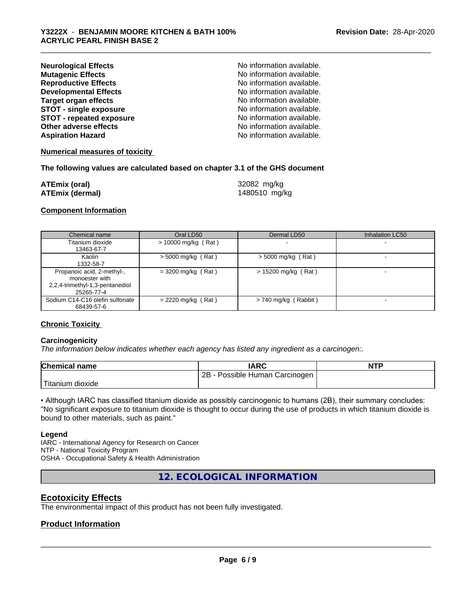| <b>Neurological Effects</b>     | No information available. |
|---------------------------------|---------------------------|
| <b>Mutagenic Effects</b>        | No information available. |
| <b>Reproductive Effects</b>     | No information available. |
| <b>Developmental Effects</b>    | No information available. |
| <b>Target organ effects</b>     | No information available. |
| <b>STOT - single exposure</b>   | No information available. |
| <b>STOT - repeated exposure</b> | No information available. |
| Other adverse effects           | No information available. |
| <b>Aspiration Hazard</b>        | No information available. |

### **Numerical measures of toxicity**

### **The following values are calculated based on chapter 3.1 of the GHS document**

| ATEmix (oral)   | 32082 mg/kg   |
|-----------------|---------------|
| ATEmix (dermal) | 1480510 mg/kg |

### **Component Information**

| Chemical name                                                                                 | Oral LD50             | Dermal LD50            | Inhalation LC50 |
|-----------------------------------------------------------------------------------------------|-----------------------|------------------------|-----------------|
| Titanium dioxide<br>13463-67-7                                                                | $> 10000$ mg/kg (Rat) |                        |                 |
| Kaolin<br>1332-58-7                                                                           | $>$ 5000 mg/kg (Rat)  | $>$ 5000 mg/kg (Rat)   |                 |
| Propanoic acid, 2-methyl-,<br>monoester with<br>2,2,4-trimethyl-1,3-pentanediol<br>25265-77-4 | $= 3200$ mg/kg (Rat)  | $> 15200$ mg/kg (Rat)  |                 |
| Sodium C14-C16 olefin sulfonate<br>68439-57-6                                                 | $= 2220$ mg/kg (Rat)  | $> 740$ mg/kg (Rabbit) |                 |

### **Chronic Toxicity**

### **Carcinogenicity**

*The information below indicateswhether each agency has listed any ingredient as a carcinogen:.*

| <b>Chemical name</b>      | IARC                            | <b>NTP</b> |
|---------------------------|---------------------------------|------------|
|                           | 2B<br>Possible Human Carcinogen |            |
| Titanium J<br>ı dioxide i |                                 |            |

• Although IARC has classified titanium dioxide as possibly carcinogenic to humans (2B), their summary concludes: "No significant exposure to titanium dioxide is thought to occur during the use of products in which titanium dioxide is bound to other materials, such as paint."

### **Legend**

IARC - International Agency for Research on Cancer NTP - National Toxicity Program OSHA - Occupational Safety & Health Administration

**12. ECOLOGICAL INFORMATION**

### **Ecotoxicity Effects**

The environmental impact of this product has not been fully investigated.

### **Product Information**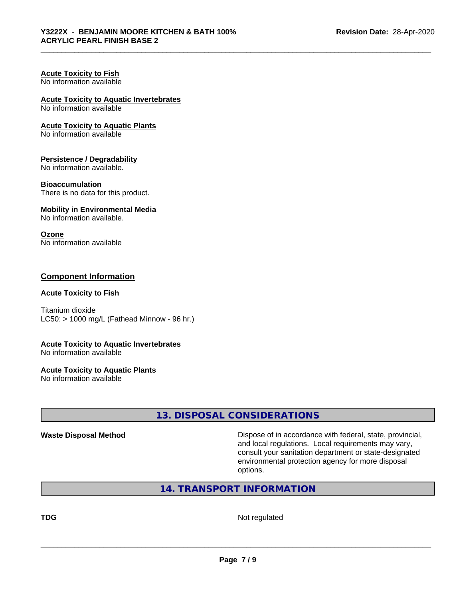#### **Acute Toxicity to Fish** No information available

## **Acute Toxicity to Aquatic Invertebrates**

No information available

### **Acute Toxicity to Aquatic Plants**

No information available

### **Persistence / Degradability**

No information available.

### **Bioaccumulation**

There is no data for this product.

### **Mobility in Environmental Media**

No information available.

### **Ozone**

No information available

### **Component Information**

### **Acute Toxicity to Fish**

Titanium dioxide  $LC50:$  > 1000 mg/L (Fathead Minnow - 96 hr.)

### **Acute Toxicity to Aquatic Invertebrates**

No information available

### **Acute Toxicity to Aquatic Plants**

No information available

### **13. DISPOSAL CONSIDERATIONS**

**Waste Disposal Method Dispose of in accordance with federal, state, provincial,** and local regulations. Local requirements may vary, consult your sanitation department or state-designated environmental protection agency for more disposal options.

### **14. TRANSPORT INFORMATION**

**TDG** Not regulated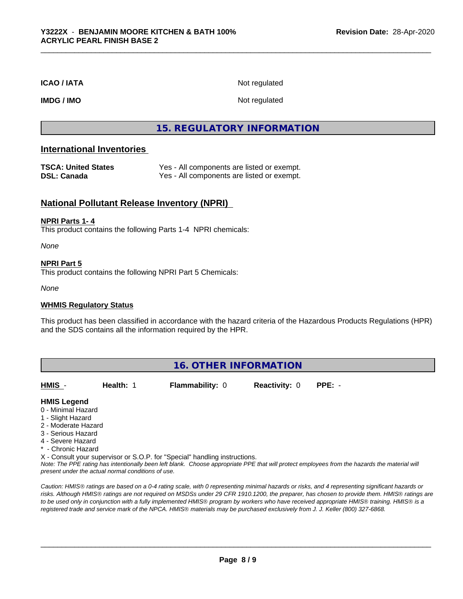### **ICAO / IATA** Not regulated

**IMDG / IMO** Not regulated

### **15. REGULATORY INFORMATION**

### **International Inventories**

| <b>TSCA: United States</b> | Yes - All components are listed or exempt. |
|----------------------------|--------------------------------------------|
| DSL: Canada                | Yes - All components are listed or exempt. |

### **National Pollutant Release Inventory (NPRI)**

### **NPRI Parts 1- 4**

This product contains the following Parts 1-4 NPRI chemicals:

*None*

### **NPRI Part 5**

This product contains the following NPRI Part 5 Chemicals:

*None*

### **WHMIS Regulatory Status**

This product has been classified in accordance with the hazard criteria of the Hazardous Products Regulations (HPR) and the SDS contains all the information required by the HPR.

### **16. OTHER INFORMATION**

**HMIS** - **Health:** 1 **Flammability:** 0 **Reactivity:** 0 **PPE:** -

### **HMIS Legend**

- 0 Minimal Hazard
- 1 Slight Hazard
- 2 Moderate Hazard
- 3 Serious Hazard
- 4 Severe Hazard
- \* Chronic Hazard
- X Consult your supervisor or S.O.P. for "Special" handling instructions.

*Note: The PPE rating has intentionally been left blank. Choose appropriate PPE that will protect employees from the hazards the material will present under the actual normal conditions of use.*

*Caution: HMISÒ ratings are based on a 0-4 rating scale, with 0 representing minimal hazards or risks, and 4 representing significant hazards or risks. Although HMISÒ ratings are not required on MSDSs under 29 CFR 1910.1200, the preparer, has chosen to provide them. HMISÒ ratings are to be used only in conjunction with a fully implemented HMISÒ program by workers who have received appropriate HMISÒ training. HMISÒ is a registered trade and service mark of the NPCA. HMISÒ materials may be purchased exclusively from J. J. Keller (800) 327-6868.*